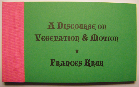# A DISCOURSE ON VEGETATION & MOTION

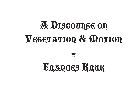## **A DISCOURSE OR** VEGETATION & MOTION

### **FRANCES KRUK**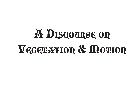### A DISCOURSE ON VEGETATION & MOTION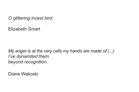*O glittering incest bird.*

Elizabeth Smart

*My anger is at the very cells my hands are made of (...) I've dynamited them beyond recognition.*

Diane Wakoski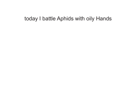#### today I battle Aphids with oily Hands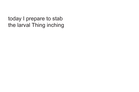today I prepare to stab the larval Thing inching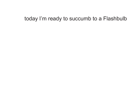#### today I'm ready to succumb to a Flashbulb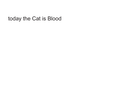today the Cat is Blood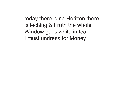today there is no Horizon there is leching & Froth the whole Window goes white in fear I must undress for Money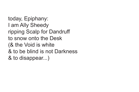today, Epiphany: I am Ally Sheedy ripping Scalp for Dandruff to snow onto the Desk (& the Void is white & to be blind is not Darkness & to disappear...)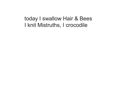today I swallow Hair & Bees I knit Mistruths, I crocodile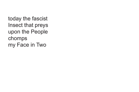today the fascist Insect that preys upon the People chomps my Face in Two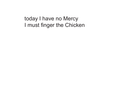today I have no Mercy I must finger the Chicken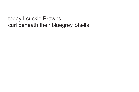today I suckle Prawns curl beneath their bluegrey Shells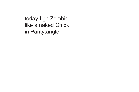today I go Zombie like a naked Chick in Pantytangle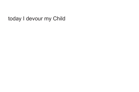#### today I devour my Child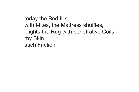today the Bed fills with Mites, the Mattress shuffles, blights the Rug with penetrative Coils my Skin such Friction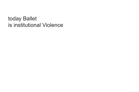today Ballet is institutional Violence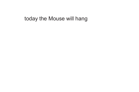#### today the Mouse will hang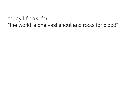#### today I freak, for "the world is one vast snout and roots for blood"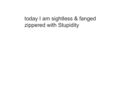today I am sightless & fanged zippered with Stupidity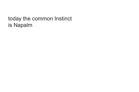#### today the common Instinct is Napalm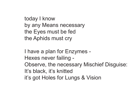```
today I know
by any Means necessary
the Eyes must be fed
the Aphids must cry
```
I have a plan for Enzymes - Hexes never failing - Observe, the necessary Mischief Disguise: It's black, it's knitted it's got Holes for Lungs & Vision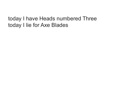#### today I have Heads numbered Three today I lie for Axe Blades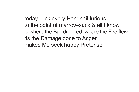today I lick every Hangnail furious to the point of marrow-suck & all I know is where the Ball dropped, where the Fire flew tis the Damage done to Anger makes Me seek happy Pretense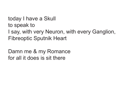today I have a Skull to speak to I say, with very Neuron, with every Ganglion, Fibreoptic Sputnik Heart

Damn me & my Romance for all it does is sit there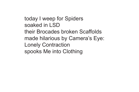today I weep for Spiders soaked in LSD their Brocades broken Scaffolds made hilarious by Camera's Eye: Lonely Contraction spooks Me into Clothing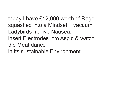today I have £12,000 worth of Rage squashed into a Mindset I vacuum Ladybirds re-live Nausea, insert Electrodes into Aspic & watch the Meat dance in its sustainable Environment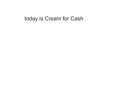#### today is Cream for Cash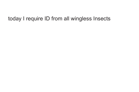#### today I require ID from all wingless Insects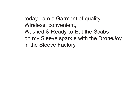### today I am a Garment of quality Wireless, convenient, Washed & Ready-to-Eat the Scabs on my Sleeve sparkle with the DroneJoy in the Sleeve Factory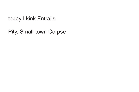today I kink Entrails

Pity, Small-town Corpse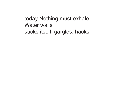today Nothing must exhale Water wails sucks itself, gargles, hacks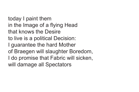today I paint them in the Image of a flying Head that knows the Desire to live is a political Decision: I guarantee the hard Mother of Braegen will slaughter Boredom, I do promise that Fabric will sicken, will damage all Spectators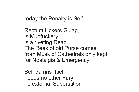today the Penalty is Self

Rectum flickers Gulag, is Mudfuckery is a riveting Read The Reek of old Purse comes from Musk of Cathedrals only kept for Nostalgia & Emergency

Self damns Itself needs no other Fury no external Superstition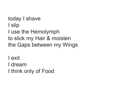today I shave I slip I use the Hemolymph to slick my Hair & moisten the Gaps between my Wings

I exit I dream I think only of Food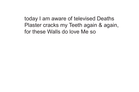today I am aware of televised Deaths Plaster cracks my Teeth again & again, for these Walls do love Me so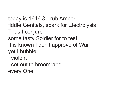today is 1646 & I rub Amber fiddle Genitals, spark for Electrolysis Thus I conjure some tasty Soldier for to test It is known I don't approve of War yet I bubble I violent I set out to broomrape every One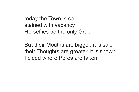today the Town is so stained with vacancy Horseflies be the only Grub

But their Mouths are bigger, it is said their Thoughts are greater, it is shown I bleed where Pores are taken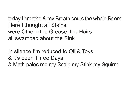today I breathe & my Breath sours the whole Room Here I thought all Stains were Other - the Grease, the Hairs all swamped about the Sink

In silence I'm reduced to Oil & Toys & it's been Three Days & Math pales me my Scalp my Stink my Squirm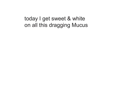today I get sweet & white on all this dragging Mucus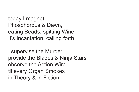today I magnet Phosphorous & Dawn, eating Beads, spitting Wine It's Incantation, calling forth

I supervise the Murder provide the Blades & Ninja Stars observe the Action Wire til every Organ Smokes in Theory & in Fiction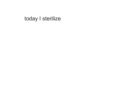today I sterilize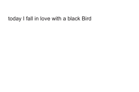# today I fall in love with a black Bird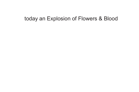## today an Explosion of Flowers & Blood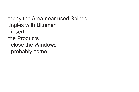today the Area near used Spines tingles with Bitumen I insert the Products I close the Windows I probably come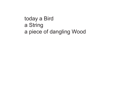today a Bird a String a piece of dangling Wood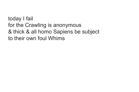today I fail for the Crawling is anonymous & thick & all homo Sapiens be subject to their own foul Whims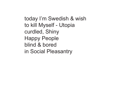today I'm Swedish & wish to kill Myself - Utopia curdled, Shiny Happy People blind & bored in Social Pleasantry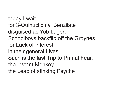today I wait for 3-Quinuclidinyl Benzilate disguised as Yob Lager: Schoolboys backflip off the Groynes for Lack of Interest in their general Lives Such is the fast Trip to Primal Fear, the instant Monkey the Leap of stinking Psyche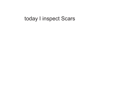## today I inspect Scars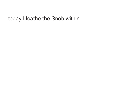# today I loathe the Snob within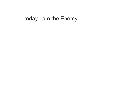# today I am the Enemy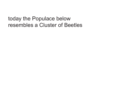today the Populace below resembles a Cluster of Beetles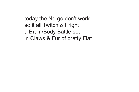today the No-go don't work so it all Twitch & Fright a Brain/Body Battle set in Claws & Fur of pretty Flat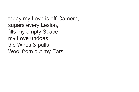today my Love is off-Camera, sugars every Lesion, fills my empty Space my Love undoes the Wires & pulls Wool from out my Ears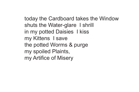today the Cardboard takes the Window shuts the Water-glare I shrill in my potted Daisies I kiss my Kittens I save the potted Worms & purge my spoiled Plaints, my Artifice of Misery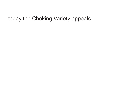# today the Choking Variety appeals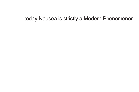# today Nausea is strictly a Modern Phenomenon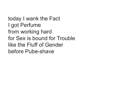today I wank the Fact I got Perfume from working hard for Sex is bound for Trouble like the Fluff of Gender before Pube-shave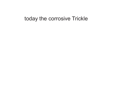### today the corrosive Trickle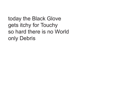today the Black Glove gets itchy for Touchy so hard there is no World only Debris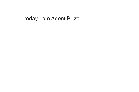# today I am Agent Buzz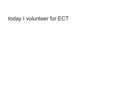# today I volunteer for ECT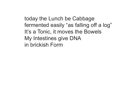today the Lunch be Cabbage fermented easily "as falling off a log" It's a Tonic, it moves the Bowels My Intestines give DNA in brickish Form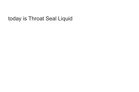# today is Throat Seal Liquid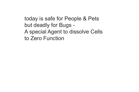today is safe for People & Pets but deadly for Bugs - A special Agent to dissolve Cells to Zero Function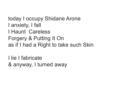today I occupy Shidane Arone I anxiety, I fall I Haunt Careless Forgery & Putting It On as if I had a Right to take such Skin

I lie I fabricate & anyway, I turned away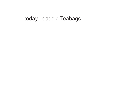## today I eat old Teabags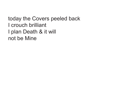today the Covers peeled back I crouch brilliant I plan Death & it will not be Mine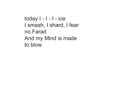today I - I - I - ice I smash, I shard, I fear no Farad And my Mind is made to blow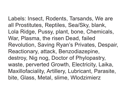Labels: Insect, Rodents, Tarsands, We are all Prostitutes, Reptiles, Sea/Sky, blank, Lola Ridge, Pussy, plant, bone, Chemicals, War, Plasma, the risen Dead, failed Revolution, Saving Ryan's Privates, Despair, Reactionary, attack, Benzodiazepine, destroy, Nig nog, Doctor of Phylopastry, waste, perverted Growth, Electricity, Laika, Maxillofaciality, Artillery, Lubricant, Parasite, bite, Glass, Metal, slime, Wlodzimierz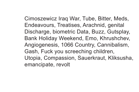Cimoszewicz Iraq War, Tube, Bitter, Meds, Endeavours, Treatises, Arachnid, genital Discharge, biometric Data, Buzz, Gutsplay, Bank Holiday Weekend, Emo, Khrushchev, Angiogenesis, 1066 Country, Cannibalism, Gash, Fuck you screeching children, Utopia, Compassion, Sauerkraut, Kliksusha, emancipate, revolt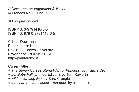*A Discourse on Vegetation & Motion* © Frances Kruk, June 2008

100 copies printed

ISBN-10: 0-9791410-6-0 ISBN-13: 978-0-9791410-6-5

Critical Documents Editor: Justin Katko Box 1923, Brown University Providence, RI 02912 USA http://plantarchy.us

Current titles:

*+ The Seven Curses: Xena Warrior Princess,* by Francis Crot *+ Let Baby Fall* (Limited Edition), by Tom Raworth *+ wild ascending lisp,* by Sara Crangle *+ the church – the school – the beer,* by cris cheek